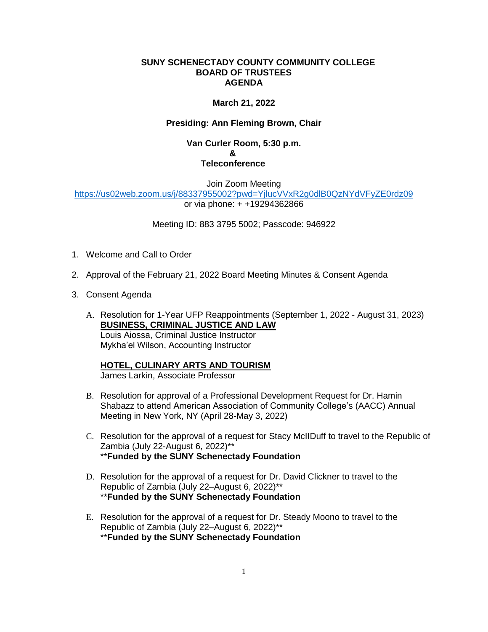#### **SUNY SCHENECTADY COUNTY COMMUNITY COLLEGE BOARD OF TRUSTEES AGENDA**

## **March 21, 2022**

## **Presiding: Ann Fleming Brown, Chair**

#### **Van Curler Room, 5:30 p.m. & Teleconference**

Join Zoom Meeting <https://us02web.zoom.us/j/88337955002?pwd=YjlucVVxR2g0dlB0QzNYdVFyZE0rdz09> or via phone: + +19294362866

Meeting ID: 883 3795 5002; Passcode: 946922

- 1. Welcome and Call to Order
- 2. Approval of the February 21, 2022 Board Meeting Minutes & Consent Agenda
- 3. Consent Agenda
	- A. Resolution for 1-Year UFP Reappointments (September 1, 2022 August 31, 2023) **BUSINESS, CRIMINAL JUSTICE AND LAW** Louis Aiossa, Criminal Justice Instructor Mykha'el Wilson, Accounting Instructor

# **HOTEL, CULINARY ARTS AND TOURISM**

James Larkin, Associate Professor

- B. Resolution for approval of a Professional Development Request for Dr. Hamin Shabazz to attend American Association of Community College's (AACC) Annual Meeting in New York, NY (April 28-May 3, 2022)
- C. Resolution for the approval of a request for Stacy McIIDuff to travel to the Republic of Zambia (July 22-August 6, 2022)\*\* \*\***Funded by the SUNY Schenectady Foundation**
- D. Resolution for the approval of a request for Dr. David Clickner to travel to the Republic of Zambia (July 22–August 6, 2022)\*\* \*\***Funded by the SUNY Schenectady Foundation**
- E. Resolution for the approval of a request for Dr. Steady Moono to travel to the Republic of Zambia (July 22–August 6, 2022)\*\* \*\***Funded by the SUNY Schenectady Foundation**